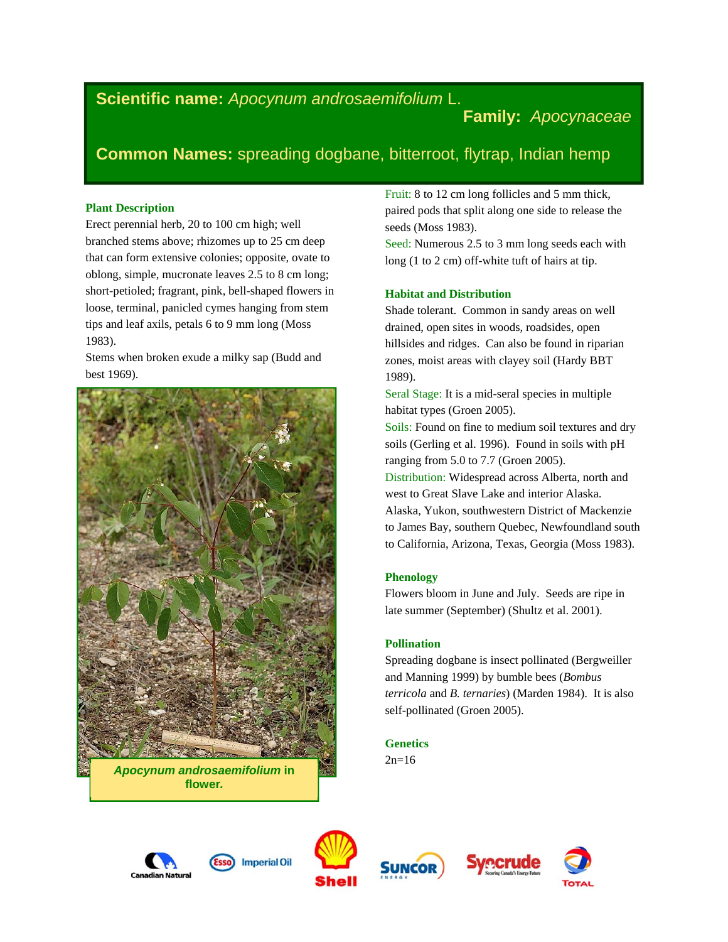# **Scientific name:** *Apocynum androsaemifolium* L.

**Family:** *Apocynaceae* 

# **Common Names:** spreading dogbane, bitterroot, flytrap, Indian hemp

## **Plant Description**

Erect perennial herb, 20 to 100 cm high; well branched stems above; rhizomes up to 25 cm deep that can form extensive colonies; opposite, ovate to oblong, simple, mucronate leaves 2.5 to 8 cm long; short-petioled; fragrant, pink, bell-shaped flowers in loose, terminal, panicled cymes hanging from stem tips and leaf axils, petals 6 to 9 mm long (Moss 1983).

Stems when broken exude a milky sap (Budd and best 1969).



*Apocynum androsaemifolium* **in flower***.* 

Fruit: 8 to 12 cm long follicles and 5 mm thick, paired pods that split along one side to release the seeds (Moss 1983).

Seed: Numerous 2.5 to 3 mm long seeds each with long (1 to 2 cm) off-white tuft of hairs at tip.

## **Habitat and Distribution**

Shade tolerant. Common in sandy areas on well drained, open sites in woods, roadsides, open hillsides and ridges. Can also be found in riparian zones, moist areas with clayey soil (Hardy BBT 1989).

Seral Stage: It is a mid-seral species in multiple habitat types (Groen 2005).

Soils: Found on fine to medium soil textures and dry soils (Gerling et al. 1996). Found in soils with pH ranging from 5.0 to 7.7 (Groen 2005).

Distribution: Widespread across Alberta, north and west to Great Slave Lake and interior Alaska. Alaska, Yukon, southwestern District of Mackenzie to James Bay, southern Quebec, Newfoundland south to California, Arizona, Texas, Georgia (Moss 1983).

# **Phenology**

Flowers bloom in June and July. Seeds are ripe in late summer (September) (Shultz et al. 2001).

# **Pollination**

Spreading dogbane is insect pollinated (Bergweiller and Manning 1999) by bumble bees (*Bombus terricola* and *B. ternaries*) (Marden 1984). It is also self-pollinated (Groen 2005).

## **Genetics**

 $2n=16$ 









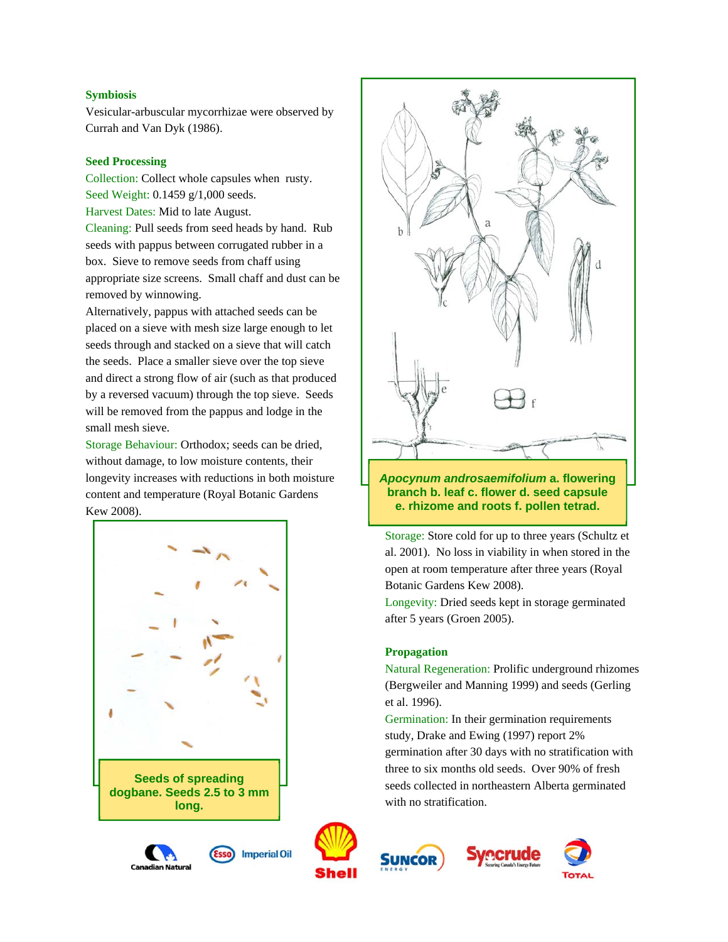## **Symbiosis**

Vesicular-arbuscular mycorrhizae were observed by Currah and Van Dyk (1986).

#### **Seed Processing**

Collection: Collect whole capsules when rusty. Seed Weight: 0.1459 g/1,000 seeds.

Harvest Dates: Mid to late August.

Cleaning: Pull seeds from seed heads by hand. Rub seeds with pappus between corrugated rubber in a box. Sieve to remove seeds from chaff using appropriate size screens. Small chaff and dust can be removed by winnowing.

Alternatively, pappus with attached seeds can be placed on a sieve with mesh size large enough to let seeds through and stacked on a sieve that will catch the seeds. Place a smaller sieve over the top sieve and direct a strong flow of air (such as that produced by a reversed vacuum) through the top sieve. Seeds will be removed from the pappus and lodge in the small mesh sieve.

Storage Behaviour: Orthodox; seeds can be dried, without damage, to low moisture contents, their longevity increases with reductions in both moisture content and temperature (Royal Botanic Gardens Kew 2008).







**Imperial Oil** 











## *Apocynum androsaemifolium* **a. flowering branch b. leaf c. flower d. seed capsule e. rhizome and roots f. pollen tetrad.**

Storage: Store cold for up to three years (Schultz et al. 2001). No loss in viability in when stored in the open at room temperature after three years (Royal Botanic Gardens Kew 2008).

Longevity: Dried seeds kept in storage germinated after 5 years (Groen 2005).

## **Propagation**

Natural Regeneration: Prolific underground rhizomes (Bergweiler and Manning 1999) and seeds (Gerling et al. 1996).

Germination: In their germination requirements study, Drake and Ewing (1997) report 2% germination after 30 days with no stratification with three to six months old seeds. Over 90% of fresh seeds collected in northeastern Alberta germinated with no stratification.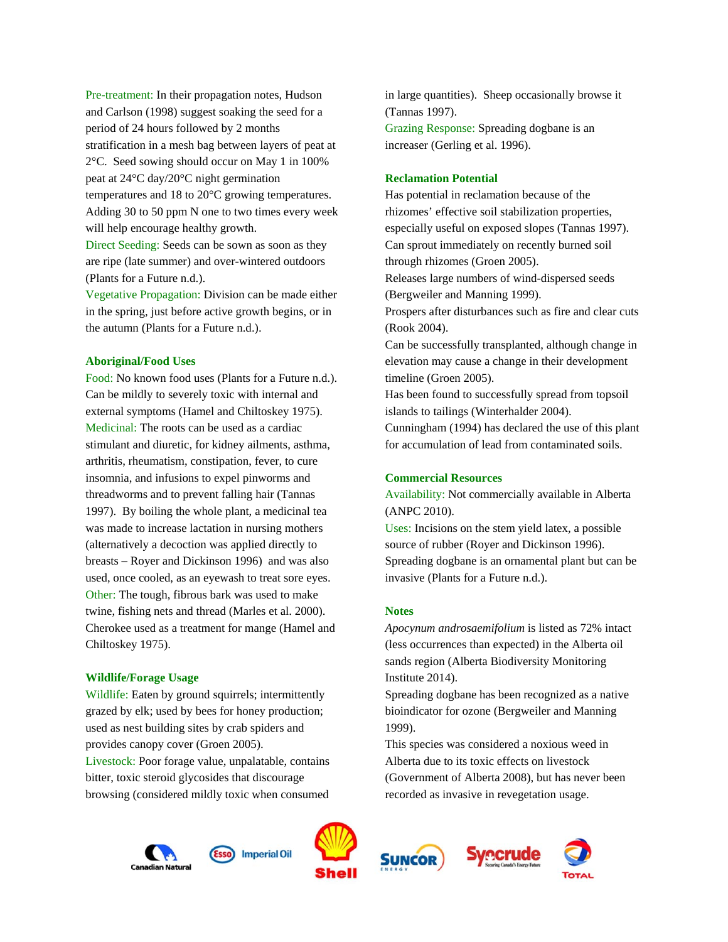Pre-treatment: In their propagation notes, Hudson and Carlson (1998) suggest soaking the seed for a period of 24 hours followed by 2 months stratification in a mesh bag between layers of peat at 2°C. Seed sowing should occur on May 1 in 100% peat at 24°C day/20°C night germination temperatures and 18 to 20°C growing temperatures. Adding 30 to 50 ppm N one to two times every week will help encourage healthy growth.

Direct Seeding: Seeds can be sown as soon as they are ripe (late summer) and over-wintered outdoors (Plants for a Future n.d.).

Vegetative Propagation: Division can be made either in the spring, just before active growth begins, or in the autumn (Plants for a Future n.d.).

#### **Aboriginal/Food Uses**

Food: No known food uses (Plants for a Future n.d.). Can be mildly to severely toxic with internal and external symptoms (Hamel and Chiltoskey 1975). Medicinal: The roots can be used as a cardiac stimulant and diuretic, for kidney ailments, asthma, arthritis, rheumatism, constipation, fever, to cure insomnia, and infusions to expel pinworms and threadworms and to prevent falling hair (Tannas 1997). By boiling the whole plant, a medicinal tea was made to increase lactation in nursing mothers (alternatively a decoction was applied directly to breasts – Royer and Dickinson 1996) and was also used, once cooled, as an eyewash to treat sore eyes. Other: The tough, fibrous bark was used to make twine, fishing nets and thread (Marles et al. 2000). Cherokee used as a treatment for mange (Hamel and Chiltoskey 1975).

#### **Wildlife/Forage Usage**

Wildlife: Eaten by ground squirrels; intermittently grazed by elk; used by bees for honey production; used as nest building sites by crab spiders and provides canopy cover (Groen 2005). Livestock: Poor forage value, unpalatable, contains bitter, toxic steroid glycosides that discourage browsing (considered mildly toxic when consumed

in large quantities). Sheep occasionally browse it (Tannas 1997). Grazing Response: Spreading dogbane is an increaser (Gerling et al. 1996).

#### **Reclamation Potential**

Has potential in reclamation because of the rhizomes' effective soil stabilization properties, especially useful on exposed slopes (Tannas 1997). Can sprout immediately on recently burned soil through rhizomes (Groen 2005). Releases large numbers of wind-dispersed seeds (Bergweiler and Manning 1999).

Prospers after disturbances such as fire and clear cuts (Rook 2004).

Can be successfully transplanted, although change in elevation may cause a change in their development timeline (Groen 2005).

Has been found to successfully spread from topsoil islands to tailings (Winterhalder 2004).

Cunningham (1994) has declared the use of this plant for accumulation of lead from contaminated soils.

## **Commercial Resources**

Availability: Not commercially available in Alberta (ANPC 2010).

Uses: Incisions on the stem yield latex, a possible source of rubber (Royer and Dickinson 1996). Spreading dogbane is an ornamental plant but can be invasive (Plants for a Future n.d.).

#### **Notes**

*Apocynum androsaemifolium* is listed as 72% intact (less occurrences than expected) in the Alberta oil sands region (Alberta Biodiversity Monitoring Institute 2014).

Spreading dogbane has been recognized as a native bioindicator for ozone (Bergweiler and Manning 1999).

This species was considered a noxious weed in Alberta due to its toxic effects on livestock (Government of Alberta 2008), but has never been recorded as invasive in revegetation usage.







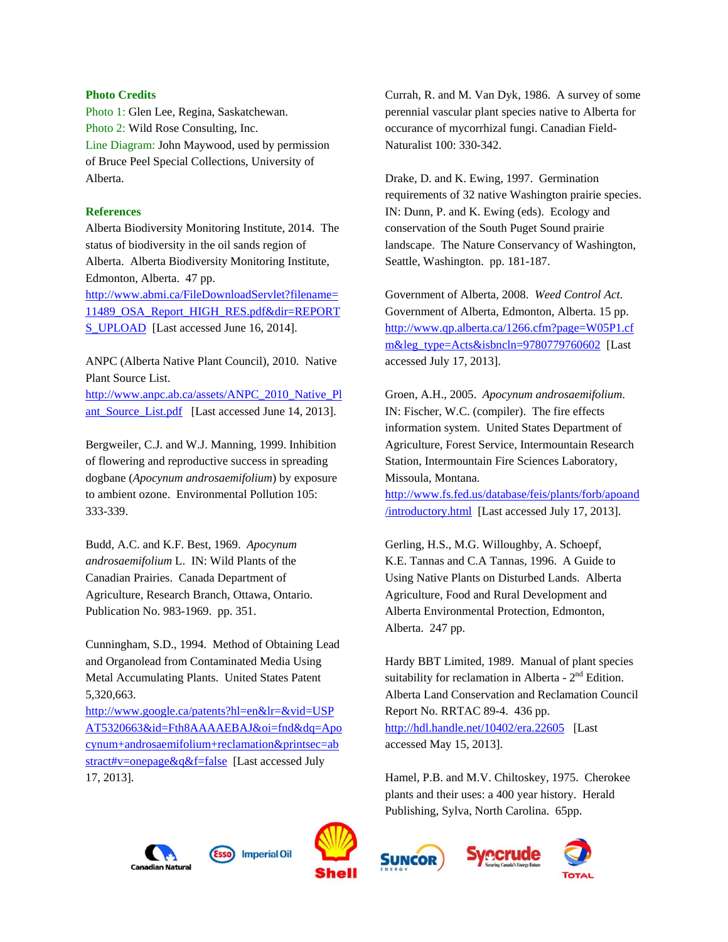#### **Photo Credits**

Photo 1: Glen Lee, Regina, Saskatchewan. Photo 2: Wild Rose Consulting, Inc. Line Diagram: John Maywood, used by permission of Bruce Peel Special Collections, University of Alberta.

#### **References**

Alberta Biodiversity Monitoring Institute, 2014. The status of biodiversity in the oil sands region of Alberta. Alberta Biodiversity Monitoring Institute, Edmonton, Alberta. 47 pp.

http://www.abmi.ca/FileDownloadServlet?filename= 11489\_OSA\_Report\_HIGH\_RES.pdf&dir=REPORT S\_UPLOAD [Last accessed June 16, 2014].

ANPC (Alberta Native Plant Council), 2010. Native Plant Source List.

http://www.anpc.ab.ca/assets/ANPC\_2010\_Native\_Pl ant\_Source\_List.pdf [Last accessed June 14, 2013].

Bergweiler, C.J. and W.J. Manning, 1999. Inhibition of flowering and reproductive success in spreading dogbane (*Apocynum androsaemifolium*) by exposure to ambient ozone. Environmental Pollution 105: 333-339.

Budd, A.C. and K.F. Best, 1969. *Apocynum androsaemifolium* L. IN: Wild Plants of the Canadian Prairies. Canada Department of Agriculture, Research Branch, Ottawa, Ontario. Publication No. 983-1969. pp. 351.

Cunningham, S.D., 1994. Method of Obtaining Lead and Organolead from Contaminated Media Using Metal Accumulating Plants. United States Patent 5,320,663.

http://www.google.ca/patents?hl=en&lr=&vid=USP AT5320663&id=Fth8AAAAEBAJ&oi=fnd&dq=Apo cynum+androsaemifolium+reclamation&printsec=ab stract#v=onepage&q&f=false [Last accessed July 17, 2013].

Currah, R. and M. Van Dyk, 1986. A survey of some perennial vascular plant species native to Alberta for occurance of mycorrhizal fungi. Canadian Field-Naturalist 100: 330-342.

Drake, D. and K. Ewing, 1997. Germination requirements of 32 native Washington prairie species. IN: Dunn, P. and K. Ewing (eds). Ecology and conservation of the South Puget Sound prairie landscape. The Nature Conservancy of Washington, Seattle, Washington. pp. 181-187.

Government of Alberta, 2008. *Weed Control Act*. Government of Alberta, Edmonton, Alberta. 15 pp. http://www.qp.alberta.ca/1266.cfm?page=W05P1.cf m&leg\_type=Acts&isbncln=9780779760602 [Last accessed July 17, 2013].

Groen, A.H., 2005. *Apocynum androsaemifolium*. IN: Fischer, W.C. (compiler). The fire effects information system. United States Department of Agriculture, Forest Service, Intermountain Research Station, Intermountain Fire Sciences Laboratory, Missoula, Montana.

http://www.fs.fed.us/database/feis/plants/forb/apoand /introductory.html [Last accessed July 17, 2013].

Gerling, H.S., M.G. Willoughby, A. Schoepf, K.E. Tannas and C.A Tannas, 1996. A Guide to Using Native Plants on Disturbed Lands. Alberta Agriculture, Food and Rural Development and Alberta Environmental Protection, Edmonton, Alberta. 247 pp.

Hardy BBT Limited, 1989. Manual of plant species suitability for reclamation in Alberta -  $2<sup>nd</sup>$  Edition. Alberta Land Conservation and Reclamation Council Report No. RRTAC 89-4. 436 pp. http://hdl.handle.net/10402/era.22605 [Last] accessed May 15, 2013].

Hamel, P.B. and M.V. Chiltoskey, 1975. Cherokee plants and their uses: a 400 year history. Herald Publishing, Sylva, North Carolina. 65pp.